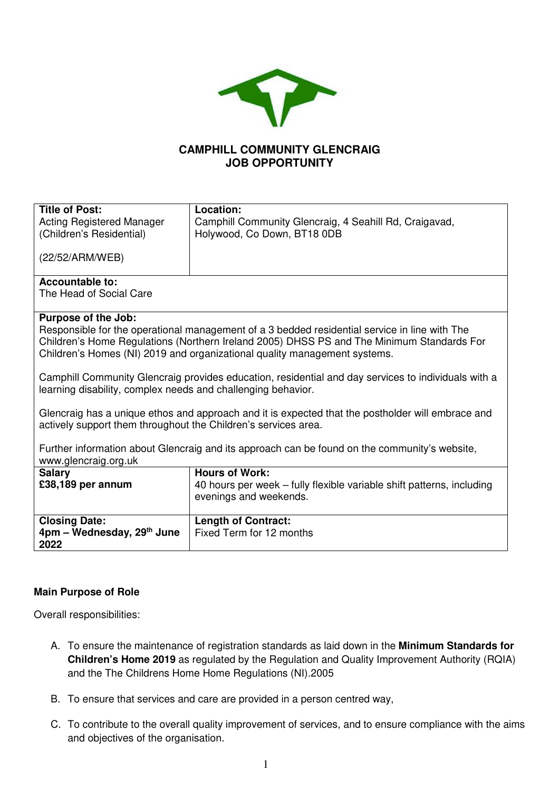

# **CAMPHILL COMMUNITY GLENCRAIG JOB OPPORTUNITY**

| <b>Title of Post:</b>                                          | Location:                                                                                           |  |  |  |
|----------------------------------------------------------------|-----------------------------------------------------------------------------------------------------|--|--|--|
| <b>Acting Registered Manager</b>                               | Camphill Community Glencraig, 4 Seahill Rd, Craigavad,                                              |  |  |  |
| (Children's Residential)                                       | Holywood, Co Down, BT18 0DB                                                                         |  |  |  |
|                                                                |                                                                                                     |  |  |  |
| (22/52/ARM/WEB)                                                |                                                                                                     |  |  |  |
|                                                                |                                                                                                     |  |  |  |
| <b>Accountable to:</b>                                         |                                                                                                     |  |  |  |
| The Head of Social Care                                        |                                                                                                     |  |  |  |
|                                                                |                                                                                                     |  |  |  |
| Purpose of the Job:                                            |                                                                                                     |  |  |  |
|                                                                | Responsible for the operational management of a 3 bedded residential service in line with The       |  |  |  |
|                                                                | Children's Home Regulations (Northern Ireland 2005) DHSS PS and The Minimum Standards For           |  |  |  |
|                                                                | Children's Homes (NI) 2019 and organizational quality management systems.                           |  |  |  |
|                                                                |                                                                                                     |  |  |  |
|                                                                | Camphill Community Glencraig provides education, residential and day services to individuals with a |  |  |  |
| learning disability, complex needs and challenging behavior.   |                                                                                                     |  |  |  |
|                                                                | Glencraig has a unique ethos and approach and it is expected that the postholder will embrace and   |  |  |  |
| actively support them throughout the Children's services area. |                                                                                                     |  |  |  |
|                                                                |                                                                                                     |  |  |  |
|                                                                | Further information about Glencraig and its approach can be found on the community's website,       |  |  |  |
| www.glencraig.org.uk                                           |                                                                                                     |  |  |  |
| <b>Salary</b>                                                  | <b>Hours of Work:</b>                                                                               |  |  |  |
| £38,189 per annum                                              | 40 hours per week - fully flexible variable shift patterns, including                               |  |  |  |
|                                                                | evenings and weekends.                                                                              |  |  |  |
|                                                                |                                                                                                     |  |  |  |
| <b>Closing Date:</b>                                           | <b>Length of Contract:</b>                                                                          |  |  |  |
| $4$ pm – Wednesday, 29 <sup>th</sup> June                      | Fixed Term for 12 months                                                                            |  |  |  |
| 2022                                                           |                                                                                                     |  |  |  |

### **Main Purpose of Role**

Overall responsibilities:

- A. To ensure the maintenance of registration standards as laid down in the **Minimum Standards for Children's Home 2019** as regulated by the Regulation and Quality Improvement Authority (RQIA) and the The Childrens Home Home Regulations (NI).2005
- B. To ensure that services and care are provided in a person centred way,
- C. To contribute to the overall quality improvement of services, and to ensure compliance with the aims and objectives of the organisation.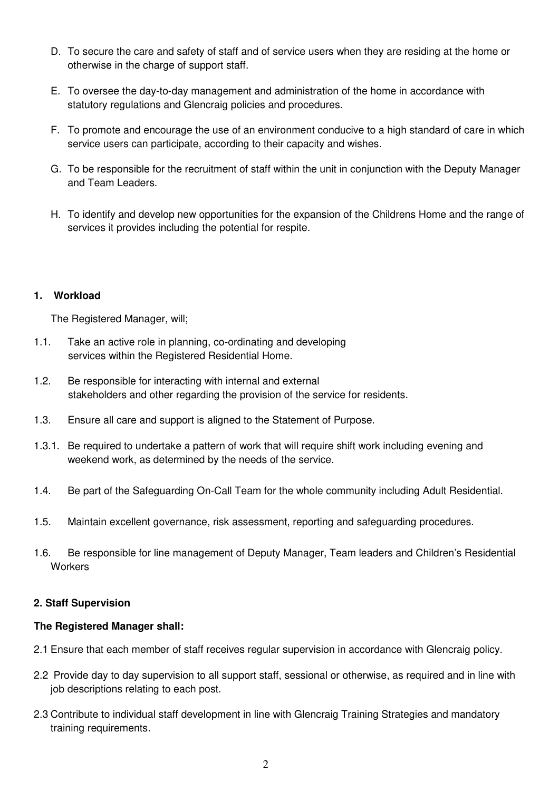- D. To secure the care and safety of staff and of service users when they are residing at the home or otherwise in the charge of support staff.
- E. To oversee the day-to-day management and administration of the home in accordance with statutory regulations and Glencraig policies and procedures.
- F. To promote and encourage the use of an environment conducive to a high standard of care in which service users can participate, according to their capacity and wishes.
- G. To be responsible for the recruitment of staff within the unit in conjunction with the Deputy Manager and Team Leaders.
- H. To identify and develop new opportunities for the expansion of the Childrens Home and the range of services it provides including the potential for respite.

#### **1. Workload**

The Registered Manager, will;

- 1.1. Take an active role in planning, co-ordinating and developing services within the Registered Residential Home.
- 1.2. Be responsible for interacting with internal and external stakeholders and other regarding the provision of the service for residents.
- 1.3. Ensure all care and support is aligned to the Statement of Purpose.
- 1.3.1. Be required to undertake a pattern of work that will require shift work including evening and weekend work, as determined by the needs of the service.
- 1.4. Be part of the Safeguarding On-Call Team for the whole community including Adult Residential.
- 1.5. Maintain excellent governance, risk assessment, reporting and safeguarding procedures.
- 1.6. Be responsible for line management of Deputy Manager, Team leaders and Children's Residential **Workers**

### **2. Staff Supervision**

#### **The Registered Manager shall:**

- 2.1 Ensure that each member of staff receives regular supervision in accordance with Glencraig policy.
- 2.2 Provide day to day supervision to all support staff, sessional or otherwise, as required and in line with job descriptions relating to each post.
- 2.3 Contribute to individual staff development in line with Glencraig Training Strategies and mandatory training requirements.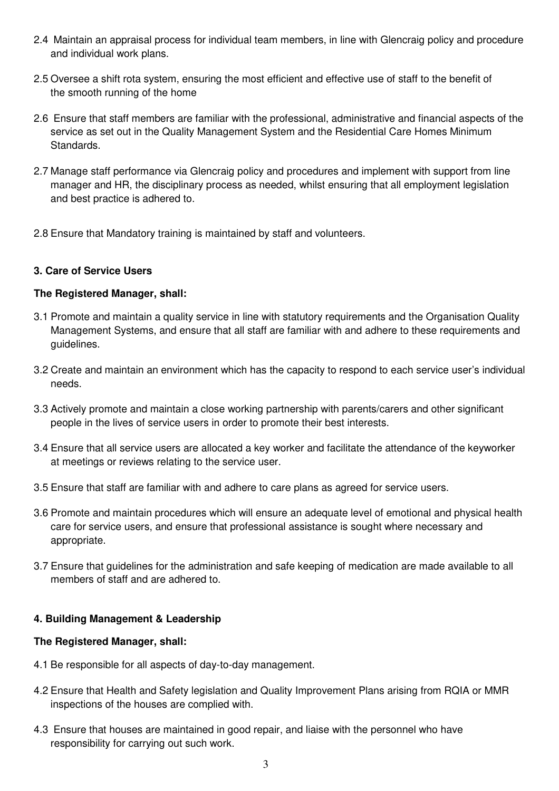- 2.4 Maintain an appraisal process for individual team members, in line with Glencraig policy and procedure and individual work plans.
- 2.5 Oversee a shift rota system, ensuring the most efficient and effective use of staff to the benefit of the smooth running of the home
- 2.6 Ensure that staff members are familiar with the professional, administrative and financial aspects of the service as set out in the Quality Management System and the Residential Care Homes Minimum Standards.
- 2.7 Manage staff performance via Glencraig policy and procedures and implement with support from line manager and HR, the disciplinary process as needed, whilst ensuring that all employment legislation and best practice is adhered to.
- 2.8 Ensure that Mandatory training is maintained by staff and volunteers.

# **3. Care of Service Users**

# **The Registered Manager, shall:**

- 3.1 Promote and maintain a quality service in line with statutory requirements and the Organisation Quality Management Systems, and ensure that all staff are familiar with and adhere to these requirements and guidelines.
- 3.2 Create and maintain an environment which has the capacity to respond to each service user's individual needs.
- 3.3 Actively promote and maintain a close working partnership with parents/carers and other significant people in the lives of service users in order to promote their best interests.
- 3.4 Ensure that all service users are allocated a key worker and facilitate the attendance of the keyworker at meetings or reviews relating to the service user.
- 3.5 Ensure that staff are familiar with and adhere to care plans as agreed for service users.
- 3.6 Promote and maintain procedures which will ensure an adequate level of emotional and physical health care for service users, and ensure that professional assistance is sought where necessary and appropriate.
- 3.7 Ensure that guidelines for the administration and safe keeping of medication are made available to all members of staff and are adhered to.

# **4. Building Management & Leadership**

### **The Registered Manager, shall:**

- 4.1 Be responsible for all aspects of day-to-day management.
- 4.2 Ensure that Health and Safety legislation and Quality Improvement Plans arising from RQIA or MMR inspections of the houses are complied with.
- 4.3 Ensure that houses are maintained in good repair, and liaise with the personnel who have responsibility for carrying out such work.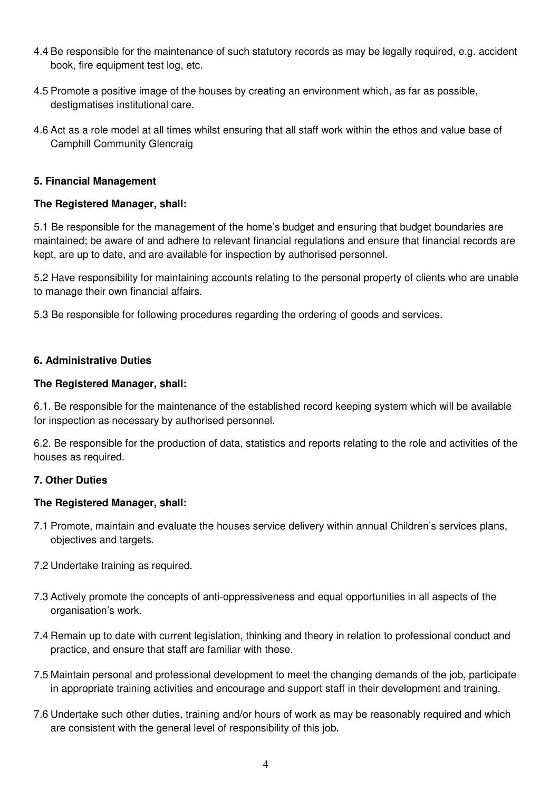- 4.4 Be responsible for the maintenance of such statutory records as may be legally required, e.g. accident book, fire equipment test log, etc.
- 4.5 Promote a positive image of the houses by creating an environment which, as far as possible, destigmatises institutional care.
- 4.6 Act as a role model at all times whilst ensuring that all staff work within the ethos and value base of Camphill Community Glencraig

#### **5. Financial Management**

#### **The Registered Manager, shall:**

5.1 Be responsible for the management of the home's budget and ensuring that budget boundaries are maintained; be aware of and adhere to relevant financial regulations and ensure that financial records are kept, are up to date, and are available for inspection by authorised personnel.

5.2 Have responsibility for maintaining accounts relating to the personal property of clients who are unable to manage their own financial affairs.

5.3 Be responsible for following procedures regarding the ordering of goods and services.

### **6. Administrative Duties**

#### **The Registered Manager, shall:**

6.1. Be responsible for the maintenance of the established record keeping system which will be available for inspection as necessary by authorised personnel.

6.2. Be responsible for the production of data, statistics and reports relating to the role and activities of the houses as required.

### **7. Other Duties**

### **The Registered Manager, shall:**

- 7.1 Promote, maintain and evaluate the houses service delivery within annual Children's services plans, objectives and targets.
- 7.2 Undertake training as required.
- 7.3 Actively promote the concepts of anti-oppressiveness and equal opportunities in all aspects of the organisation's work.
- 7.4 Remain up to date with current legislation, thinking and theory in relation to professional conduct and practice, and ensure that staff are familiar with these.
- 7.5 Maintain personal and professional development to meet the changing demands of the job, participate in appropriate training activities and encourage and support staff in their development and training.
- 7.6 Undertake such other duties, training and/or hours of work as may be reasonably required and which are consistent with the general level of responsibility of this job.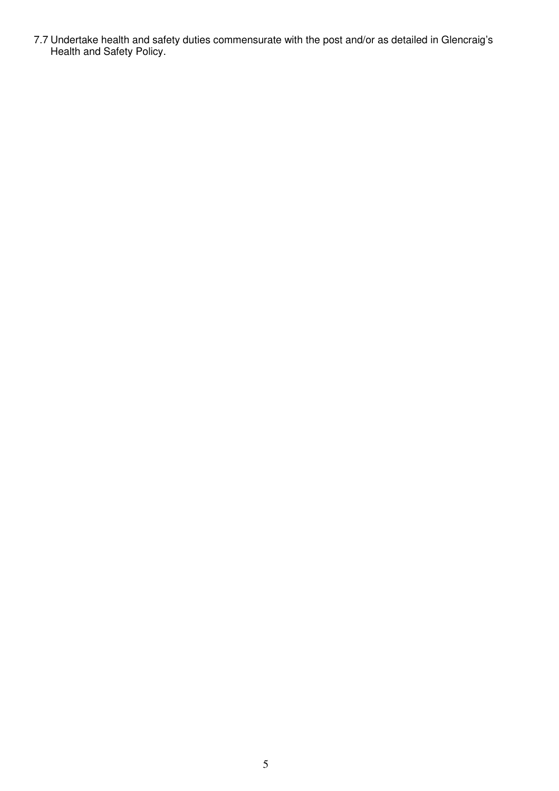7.7 Undertake health and safety duties commensurate with the post and/or as detailed in Glencraig's Health and Safety Policy.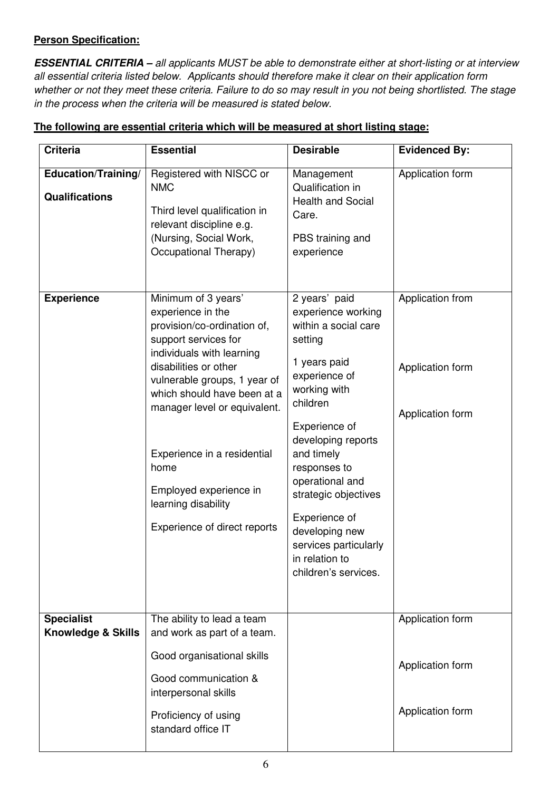# **Person Specification:**

**ESSENTIAL CRITERIA –** all applicants MUST be able to demonstrate either at short-listing or at interview all essential criteria listed below. Applicants should therefore make it clear on their application form whether or not they meet these criteria. Failure to do so may result in you not being shortlisted. The stage in the process when the criteria will be measured is stated below.

| <b>Criteria</b>                                    | <b>Essential</b>                                                                                                                                                                                                                                                                                                                                                             | <b>Desirable</b>                                                                                                                                                                                                                                                                                                                                          | <b>Evidenced By:</b>                                     |
|----------------------------------------------------|------------------------------------------------------------------------------------------------------------------------------------------------------------------------------------------------------------------------------------------------------------------------------------------------------------------------------------------------------------------------------|-----------------------------------------------------------------------------------------------------------------------------------------------------------------------------------------------------------------------------------------------------------------------------------------------------------------------------------------------------------|----------------------------------------------------------|
| Education/Training/<br><b>Qualifications</b>       | Registered with NISCC or<br><b>NMC</b><br>Third level qualification in<br>relevant discipline e.g.<br>(Nursing, Social Work,<br>Occupational Therapy)                                                                                                                                                                                                                        | Management<br>Qualification in<br><b>Health and Social</b><br>Care.<br>PBS training and<br>experience                                                                                                                                                                                                                                                     | Application form                                         |
| <b>Experience</b>                                  | Minimum of 3 years'<br>experience in the<br>provision/co-ordination of,<br>support services for<br>individuals with learning<br>disabilities or other<br>vulnerable groups, 1 year of<br>which should have been at a<br>manager level or equivalent.<br>Experience in a residential<br>home<br>Employed experience in<br>learning disability<br>Experience of direct reports | 2 years' paid<br>experience working<br>within a social care<br>setting<br>1 years paid<br>experience of<br>working with<br>children<br>Experience of<br>developing reports<br>and timely<br>responses to<br>operational and<br>strategic objectives<br>Experience of<br>developing new<br>services particularly<br>in relation to<br>children's services. | Application from<br>Application form<br>Application form |
| <b>Specialist</b><br><b>Knowledge &amp; Skills</b> | The ability to lead a team<br>and work as part of a team.<br>Good organisational skills<br>Good communication &<br>interpersonal skills                                                                                                                                                                                                                                      |                                                                                                                                                                                                                                                                                                                                                           | Application form<br>Application form<br>Application form |
|                                                    | Proficiency of using<br>standard office IT                                                                                                                                                                                                                                                                                                                                   |                                                                                                                                                                                                                                                                                                                                                           |                                                          |

# **The following are essential criteria which will be measured at short listing stage:**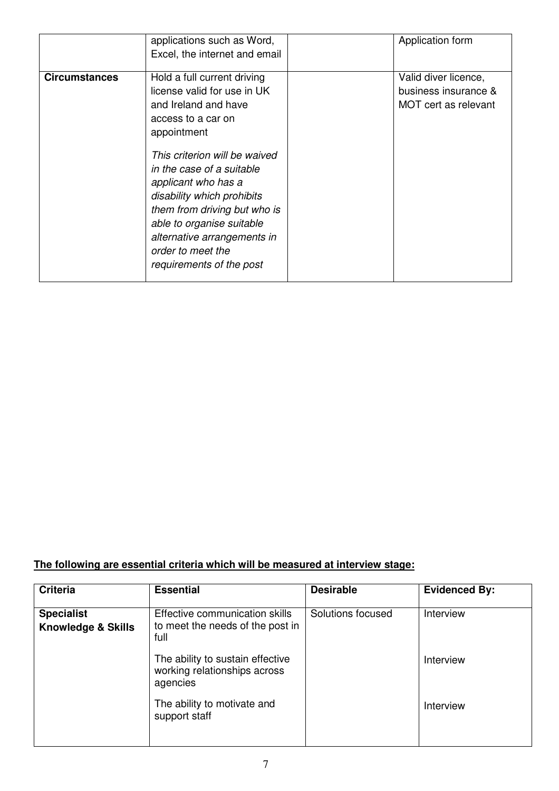|                      | applications such as Word,<br>Excel, the internet and email                                                                                                                                                                                                                                                                                                                             | Application form                                                     |
|----------------------|-----------------------------------------------------------------------------------------------------------------------------------------------------------------------------------------------------------------------------------------------------------------------------------------------------------------------------------------------------------------------------------------|----------------------------------------------------------------------|
| <b>Circumstances</b> | Hold a full current driving<br>license valid for use in UK<br>and Ireland and have<br>access to a car on<br>appointment<br>This criterion will be waived<br>in the case of a suitable<br>applicant who has a<br>disability which prohibits<br>them from driving but who is<br>able to organise suitable<br>alternative arrangements in<br>order to meet the<br>requirements of the post | Valid diver licence,<br>business insurance &<br>MOT cert as relevant |

# **The following are essential criteria which will be measured at interview stage:**

| <b>Criteria</b>                                    | <b>Essential</b>                                                             | <b>Desirable</b>  | <b>Evidenced By:</b> |
|----------------------------------------------------|------------------------------------------------------------------------------|-------------------|----------------------|
| <b>Specialist</b><br><b>Knowledge &amp; Skills</b> | Effective communication skills<br>to meet the needs of the post in<br>full   | Solutions focused | Interview            |
|                                                    | The ability to sustain effective<br>working relationships across<br>agencies |                   | Interview            |
|                                                    | The ability to motivate and<br>support staff                                 |                   | Interview            |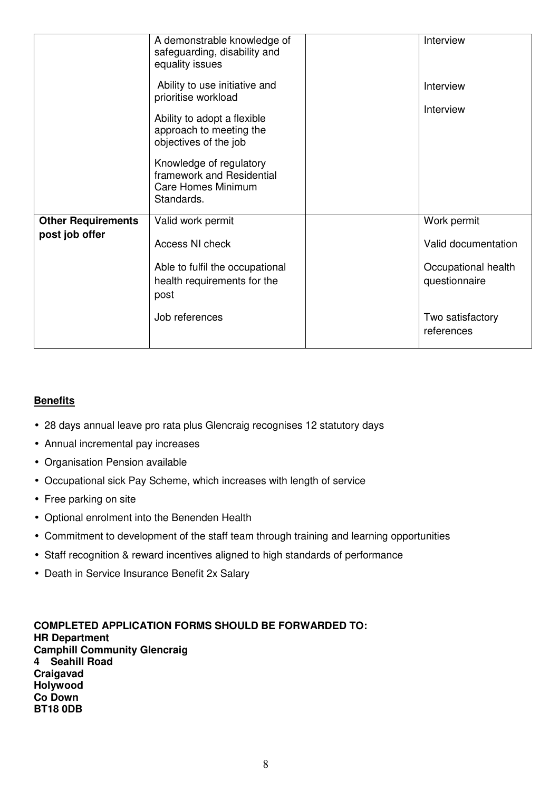|                           | A demonstrable knowledge of<br>safeguarding, disability and<br>equality issues           | Interview                            |
|---------------------------|------------------------------------------------------------------------------------------|--------------------------------------|
|                           | Ability to use initiative and<br>prioritise workload                                     | Interview                            |
|                           | Ability to adopt a flexible<br>approach to meeting the<br>objectives of the job          | Interview                            |
|                           | Knowledge of regulatory<br>framework and Residential<br>Care Homes Minimum<br>Standards. |                                      |
| <b>Other Requirements</b> | Valid work permit                                                                        | Work permit                          |
| post job offer            | Access NI check                                                                          | Valid documentation                  |
|                           | Able to fulfil the occupational<br>health requirements for the<br>post                   | Occupational health<br>questionnaire |
|                           | Job references                                                                           | Two satisfactory<br>references       |

# **Benefits**

- 28 days annual leave pro rata plus Glencraig recognises 12 statutory days
- Annual incremental pay increases
- Organisation Pension available
- Occupational sick Pay Scheme, which increases with length of service
- Free parking on site
- Optional enrolment into the Benenden Health
- Commitment to development of the staff team through training and learning opportunities
- Staff recognition & reward incentives aligned to high standards of performance
- Death in Service Insurance Benefit 2x Salary

**COMPLETED APPLICATION FORMS SHOULD BE FORWARDED TO: HR Department Camphill Community Glencraig 4 Seahill Road Craigavad Holywood Co Down BT18 0DB**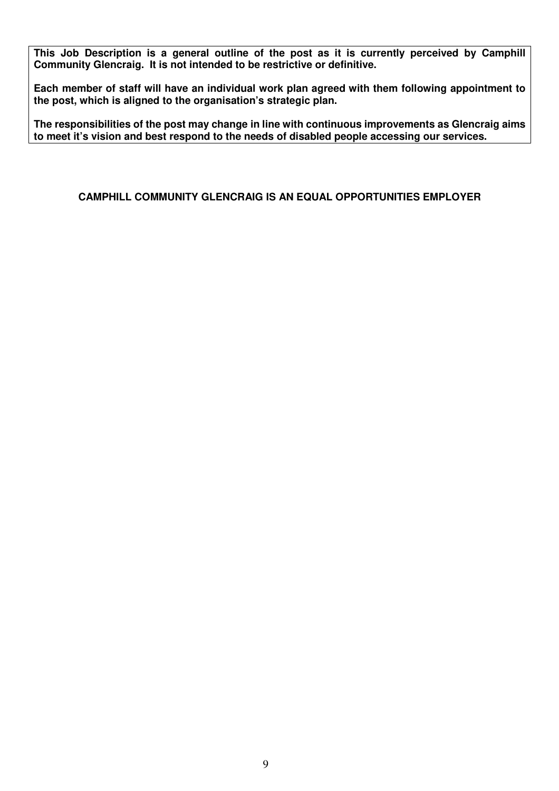**This Job Description is a general outline of the post as it is currently perceived by Camphill Community Glencraig. It is not intended to be restrictive or definitive.** 

**Each member of staff will have an individual work plan agreed with them following appointment to the post, which is aligned to the organisation's strategic plan.** 

**The responsibilities of the post may change in line with continuous improvements as Glencraig aims to meet it's vision and best respond to the needs of disabled people accessing our services.** 

**CAMPHILL COMMUNITY GLENCRAIG IS AN EQUAL OPPORTUNITIES EMPLOYER**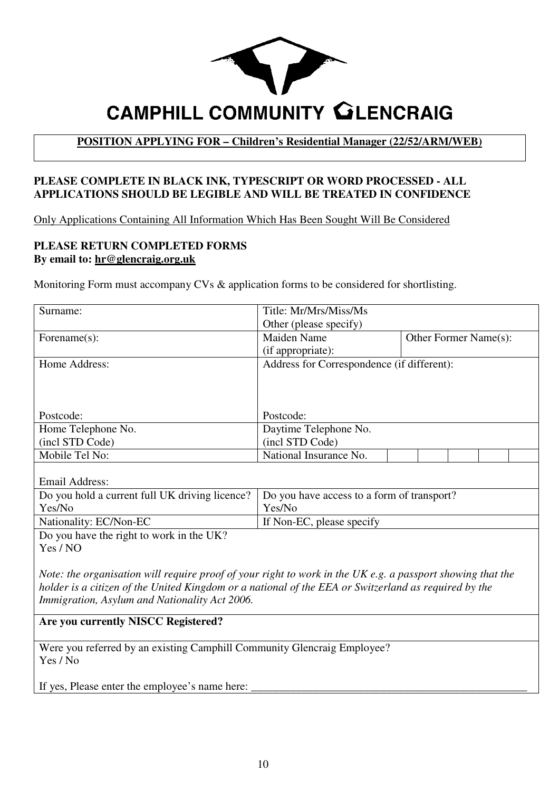

# **POSITION APPLYING FOR – Children's Residential Manager (22/52/ARM/WEB)**

### **PLEASE COMPLETE IN BLACK INK, TYPESCRIPT OR WORD PROCESSED - ALL APPLICATIONS SHOULD BE LEGIBLE AND WILL BE TREATED IN CONFIDENCE**

Only Applications Containing All Information Which Has Been Sought Will Be Considered

#### **PLEASE RETURN COMPLETED FORMS By email to: hr@glencraig.org.uk**

Monitoring Form must accompany CVs & application forms to be considered for shortlisting.

| Surname:                                                                                                   | Title: Mr/Mrs/Miss/Ms                       |  |  |  |  |
|------------------------------------------------------------------------------------------------------------|---------------------------------------------|--|--|--|--|
|                                                                                                            | Other (please specify)                      |  |  |  |  |
| Forename(s):                                                                                               | <b>Maiden Name</b><br>Other Former Name(s): |  |  |  |  |
|                                                                                                            | (if appropriate):                           |  |  |  |  |
| Home Address:                                                                                              | Address for Correspondence (if different):  |  |  |  |  |
|                                                                                                            |                                             |  |  |  |  |
|                                                                                                            |                                             |  |  |  |  |
|                                                                                                            |                                             |  |  |  |  |
| Postcode:                                                                                                  | Postcode:                                   |  |  |  |  |
| Home Telephone No.                                                                                         | Daytime Telephone No.                       |  |  |  |  |
| (incl STD Code)                                                                                            | (incl STD Code)                             |  |  |  |  |
| Mobile Tel No:                                                                                             | National Insurance No.                      |  |  |  |  |
|                                                                                                            |                                             |  |  |  |  |
| <b>Email Address:</b>                                                                                      |                                             |  |  |  |  |
| Do you hold a current full UK driving licence?                                                             | Do you have access to a form of transport?  |  |  |  |  |
| Yes/No                                                                                                     | Yes/No                                      |  |  |  |  |
| Nationality: EC/Non-EC                                                                                     | If Non-EC, please specify                   |  |  |  |  |
| Do you have the right to work in the UK?                                                                   |                                             |  |  |  |  |
| Yes / NO                                                                                                   |                                             |  |  |  |  |
|                                                                                                            |                                             |  |  |  |  |
| Note: the organisation will require proof of your right to work in the UK e.g. a passport showing that the |                                             |  |  |  |  |
| holder is a citizen of the United Kingdom or a national of the EEA or Switzerland as required by the       |                                             |  |  |  |  |
| Immigration, Asylum and Nationality Act 2006.                                                              |                                             |  |  |  |  |
| Are you currently NISCC Registered?                                                                        |                                             |  |  |  |  |
|                                                                                                            |                                             |  |  |  |  |
| Were you referred by an existing Camphill Community Glencraig Employee?                                    |                                             |  |  |  |  |
| Yes / No                                                                                                   |                                             |  |  |  |  |
|                                                                                                            |                                             |  |  |  |  |
| If yes, Please enter the employee's name here:                                                             |                                             |  |  |  |  |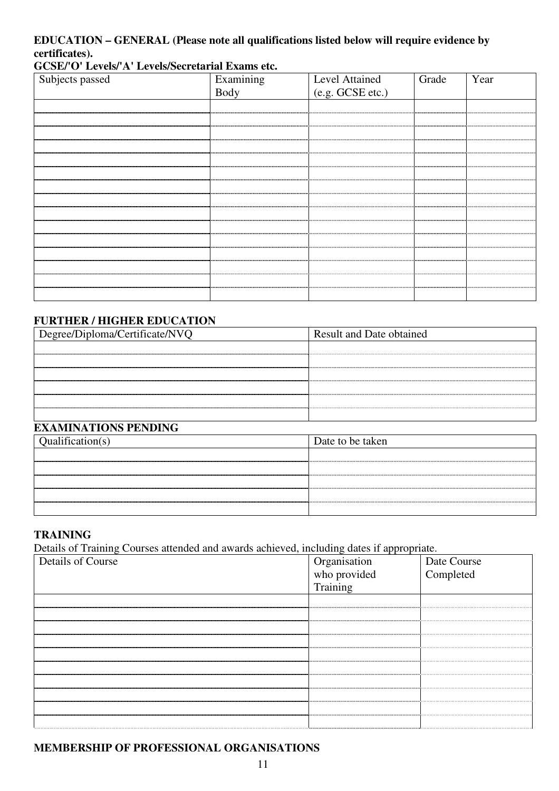# **EDUCATION – GENERAL (Please note all qualifications listed below will require evidence by certificates).**

#### **GCSE/'O' Levels/'A' Levels/Secretarial Exams etc.**

| Subjects passed | Examining<br>Body | Level Attained   | Grade | Year |
|-----------------|-------------------|------------------|-------|------|
|                 |                   | (e.g. GCSE etc.) |       |      |
|                 |                   |                  |       |      |
|                 |                   |                  |       |      |
|                 |                   |                  |       |      |
|                 |                   |                  |       |      |
|                 |                   |                  |       |      |
|                 |                   |                  |       |      |
|                 |                   |                  |       |      |
|                 |                   |                  |       |      |
|                 |                   |                  |       |      |
|                 |                   |                  |       |      |
|                 |                   |                  |       |      |
|                 |                   |                  |       |      |
|                 |                   |                  |       |      |
|                 |                   |                  |       |      |
|                 |                   |                  |       |      |
|                 |                   |                  |       |      |

# **FURTHER / HIGHER EDUCATION**

| Degree/Diploma/Certificate/NVQ | <b>Result and Date obtained</b> |  |
|--------------------------------|---------------------------------|--|
|                                |                                 |  |
|                                |                                 |  |
|                                |                                 |  |
|                                |                                 |  |
|                                |                                 |  |
|                                |                                 |  |
| <b>EXAMINATIONS PENDING</b>    |                                 |  |
| Qualification(s)               | Date to be taken                |  |

| Qualification(s) | Date to be taken |
|------------------|------------------|
|                  |                  |
|                  |                  |
|                  |                  |
|                  |                  |
|                  |                  |

# **TRAINING**

Details of Training Courses attended and awards achieved, including dates if appropriate.

| Details of Course |                                          |                          |
|-------------------|------------------------------------------|--------------------------|
|                   |                                          | Date Course<br>Completed |
|                   | Organisation<br>who provided<br>Training |                          |
|                   |                                          |                          |
|                   |                                          |                          |
|                   |                                          |                          |
|                   |                                          |                          |
|                   |                                          |                          |
|                   |                                          |                          |
|                   |                                          |                          |
|                   |                                          |                          |
|                   |                                          |                          |
|                   |                                          |                          |
|                   |                                          |                          |

#### **MEMBERSHIP OF PROFESSIONAL ORGANISATIONS**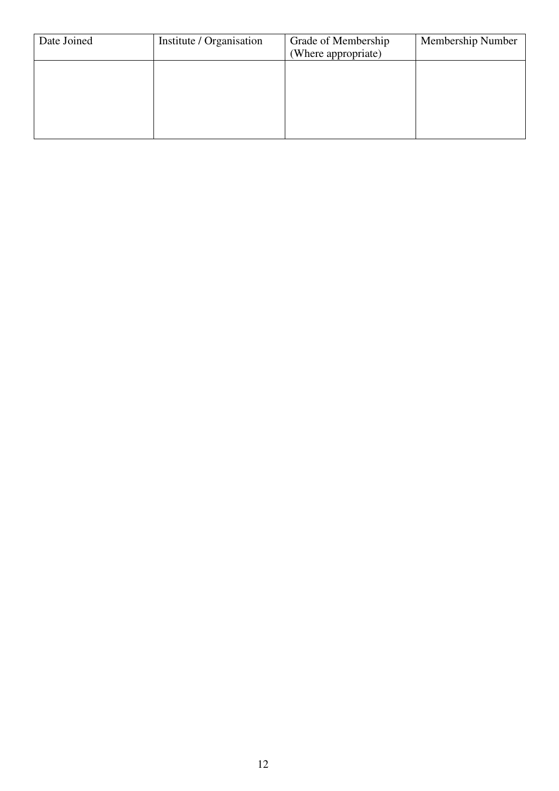| Date Joined | Institute / Organisation | Grade of Membership<br>(Where appropriate) | Membership Number |
|-------------|--------------------------|--------------------------------------------|-------------------|
|             |                          |                                            |                   |
|             |                          |                                            |                   |
|             |                          |                                            |                   |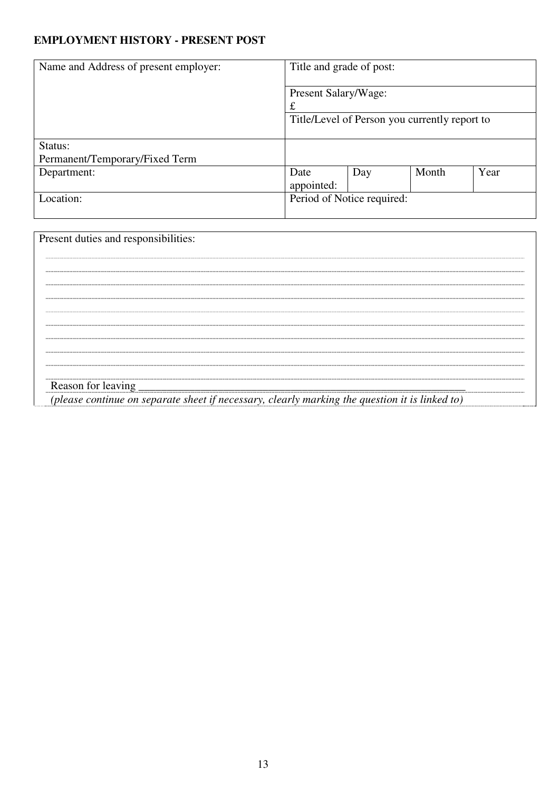# **EMPLOYMENT HISTORY - PRESENT POST**

| Name and Address of present employer: | Title and grade of post:                      |     |       |      |
|---------------------------------------|-----------------------------------------------|-----|-------|------|
|                                       | Present Salary/Wage:<br>£                     |     |       |      |
|                                       | Title/Level of Person you currently report to |     |       |      |
| Status:                               |                                               |     |       |      |
| Permanent/Temporary/Fixed Term        |                                               |     |       |      |
| Department:                           | Date<br>appointed:                            | Day | Month | Year |
| Location:                             | Period of Notice required:                    |     |       |      |

| Present duties and responsibilities:                                                           |
|------------------------------------------------------------------------------------------------|
|                                                                                                |
|                                                                                                |
|                                                                                                |
|                                                                                                |
|                                                                                                |
|                                                                                                |
|                                                                                                |
|                                                                                                |
|                                                                                                |
|                                                                                                |
| (please continue on separate sheet if necessary, clearly marking the question it is linked to) |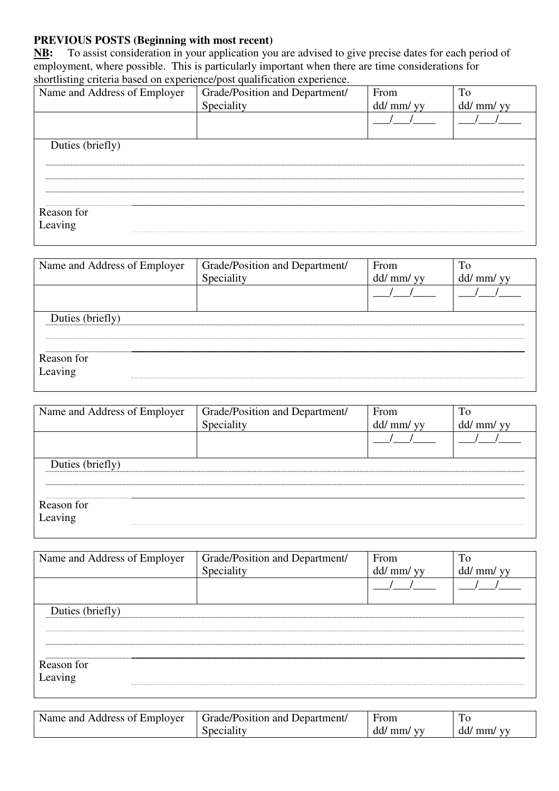# **PREVIOUS POSTS (Beginning with most recent)**

**NB:** To assist consideration in your application you are advised to give precise dates for each period of employment, where possible. This is particularly important when there are time considerations for shortlisting criteria based on experience/post qualification experience.

| Name and Address of Employer | Grade/Position and Department/ | From       | To         |
|------------------------------|--------------------------------|------------|------------|
|                              | Speciality                     | dd/ mm/ yy | dd/ mm/ yy |
|                              |                                |            |            |
|                              |                                |            |            |
| Duties (briefly)             |                                |            |            |
|                              |                                |            |            |
|                              |                                |            |            |
|                              |                                |            |            |
|                              |                                |            |            |
| Reason for                   |                                |            |            |
| Leaving                      |                                |            |            |
|                              |                                |            |            |

| Name and Address of Employer | Grade/Position and Department/ | From         |                |
|------------------------------|--------------------------------|--------------|----------------|
|                              | Speciality                     | $dd/$ mm/ yy | $dd/$ mm/ $yy$ |
|                              |                                |              |                |
| Duties (briefly)             |                                |              |                |
|                              |                                |              |                |
| Reason for                   |                                |              |                |
| Leaving                      |                                |              |                |

| Name and Address of Employer | Grade/Position and Department/ | From       |            |
|------------------------------|--------------------------------|------------|------------|
|                              | Speciality                     | dd/ mm/ yy | dd/ mm/ yy |
|                              |                                |            |            |
| Duties (briefly)             |                                |            |            |
|                              |                                |            |            |
| Reason for                   |                                |            |            |
| Leaving                      |                                |            |            |

| Name and Address of Employer | Grade/Position and Department/ | From       | To         |
|------------------------------|--------------------------------|------------|------------|
|                              | Speciality                     | dd/ mm/ yy | dd/ mm/ yy |
|                              |                                |            |            |
| Duties (briefly)             |                                |            |            |
|                              |                                |            |            |
| Reason for                   |                                |            |            |
| Leaving                      |                                |            |            |

| Name and Address of Employer | Grade/Position and Department | From                         | 1 U          |
|------------------------------|-------------------------------|------------------------------|--------------|
|                              | Speciality                    | dd/<br>mm/<br>V <sub>1</sub> | $dd/$ mm/ yy |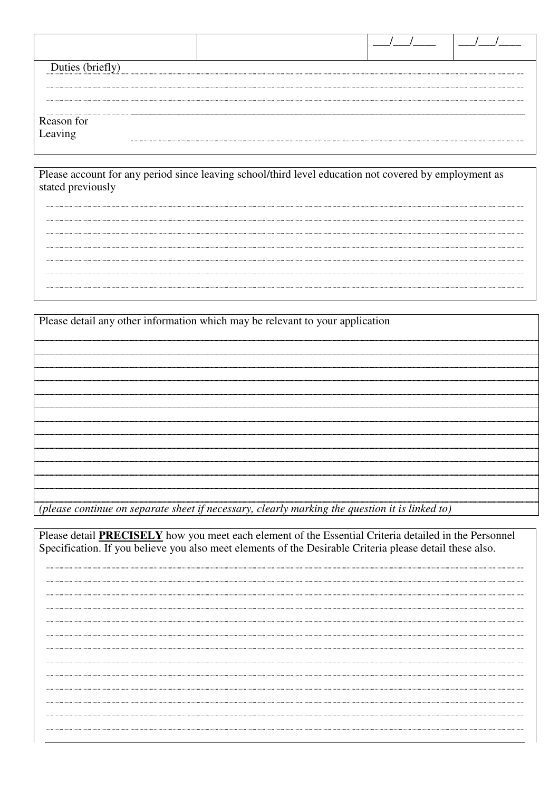| Duties (briefly)      |  |  |  |
|-----------------------|--|--|--|
|                       |  |  |  |
|                       |  |  |  |
|                       |  |  |  |
| Reason for<br>Leaving |  |  |  |

Please account for any period since leaving school/third level education not covered by employment as stated previously

Please detail any other information which may be relevant to your application

*(please continue on separate sheet if necessary, clearly marking the question it is linked to)* 

Please detail **PRECISELY** how you meet each element of the Essential Criteria detailed in the Personnel Specification. If you believe you also meet elements of the Desirable Criteria please detail these also.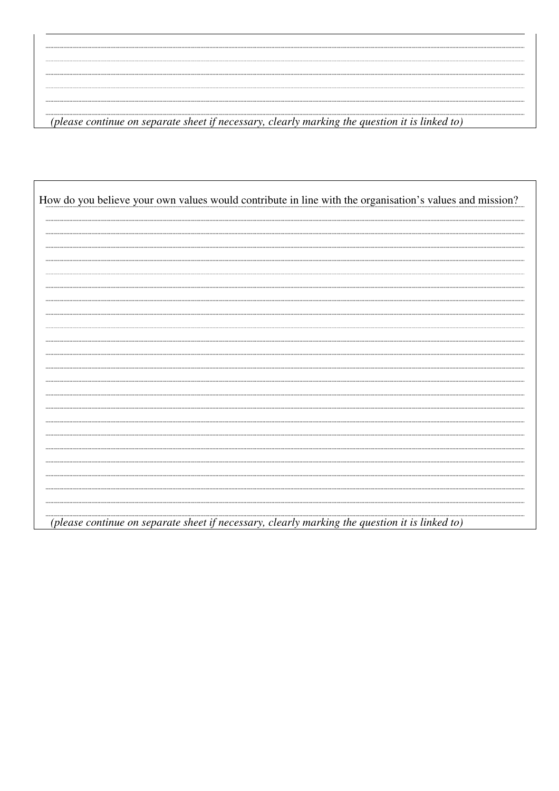............ *(please continue on separate sheet if necessary, clearly marking the question it is linked to)*

|  |  |  | How do you believe your own values would contribute in line with the organisation's values and mission? |
|--|--|--|---------------------------------------------------------------------------------------------------------|
|  |  |  |                                                                                                         |
|  |  |  |                                                                                                         |
|  |  |  |                                                                                                         |
|  |  |  |                                                                                                         |
|  |  |  |                                                                                                         |
|  |  |  |                                                                                                         |
|  |  |  |                                                                                                         |
|  |  |  |                                                                                                         |
|  |  |  |                                                                                                         |
|  |  |  |                                                                                                         |
|  |  |  |                                                                                                         |
|  |  |  |                                                                                                         |
|  |  |  |                                                                                                         |
|  |  |  |                                                                                                         |
|  |  |  |                                                                                                         |
|  |  |  |                                                                                                         |
|  |  |  |                                                                                                         |
|  |  |  |                                                                                                         |
|  |  |  |                                                                                                         |
|  |  |  |                                                                                                         |
|  |  |  |                                                                                                         |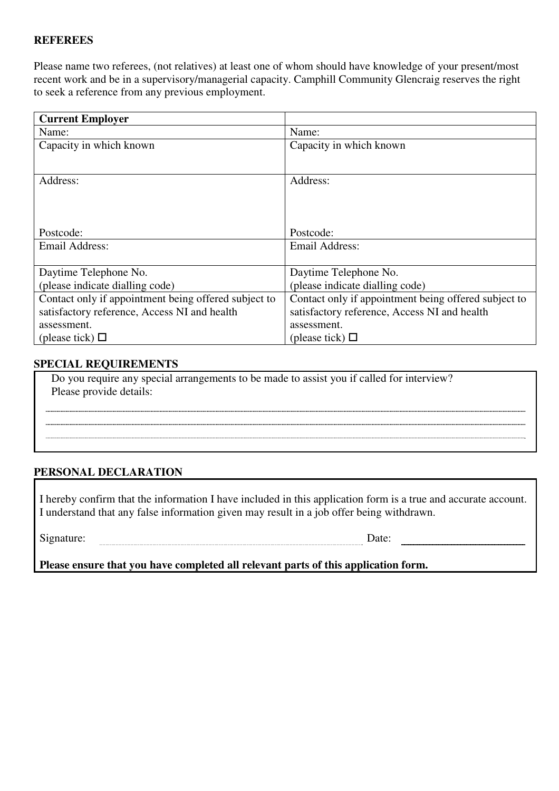#### **REFEREES**

Please name two referees, (not relatives) at least one of whom should have knowledge of your present/most recent work and be in a supervisory/managerial capacity. Camphill Community Glencraig reserves the right to seek a reference from any previous employment.

| <b>Current Employer</b>                              |                                                      |
|------------------------------------------------------|------------------------------------------------------|
| Name:                                                | Name:                                                |
| Capacity in which known                              | Capacity in which known                              |
|                                                      |                                                      |
| Address:                                             | Address:                                             |
|                                                      |                                                      |
|                                                      |                                                      |
|                                                      |                                                      |
| Postcode:                                            | Postcode:                                            |
| Email Address:                                       | Email Address:                                       |
|                                                      |                                                      |
| Daytime Telephone No.                                | Daytime Telephone No.                                |
| (please indicate dialling code)                      | (please indicate dialling code)                      |
| Contact only if appointment being offered subject to | Contact only if appointment being offered subject to |
| satisfactory reference, Access NI and health         | satisfactory reference, Access NI and health         |
| assessment.                                          | assessment.                                          |
| (please tick) $\Box$                                 | (please tick) $\Box$                                 |

### **SPECIAL REQUIREMENTS**

 Do you require any special arrangements to be made to assist you if called for interview? Please provide details:

### **PERSONAL DECLARATION**

I hereby confirm that the information I have included in this application form is a true and accurate account. I understand that any false information given may result in a job offer being withdrawn.

Signature: Date: Date:

**Please ensure that you have completed all relevant parts of this application form.**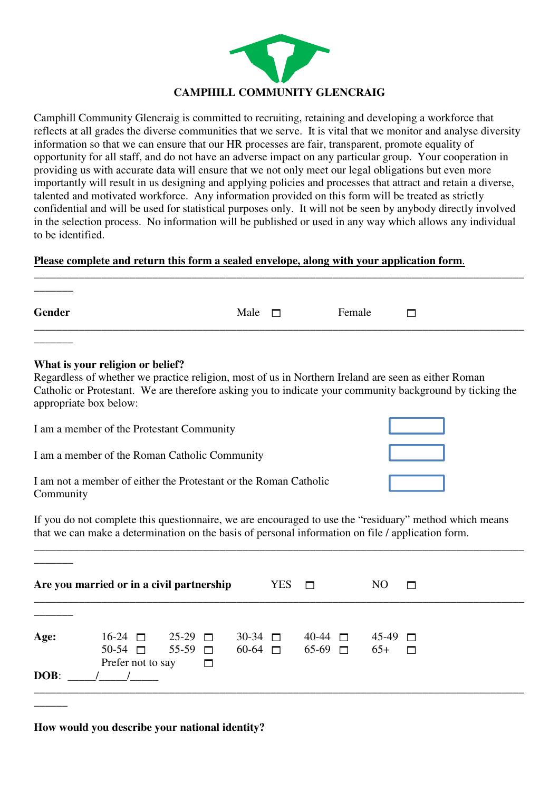

Camphill Community Glencraig is committed to recruiting, retaining and developing a workforce that reflects at all grades the diverse communities that we serve. It is vital that we monitor and analyse diversity information so that we can ensure that our HR processes are fair, transparent, promote equality of opportunity for all staff, and do not have an adverse impact on any particular group. Your cooperation in providing us with accurate data will ensure that we not only meet our legal obligations but even more importantly will result in us designing and applying policies and processes that attract and retain a diverse, talented and motivated workforce. Any information provided on this form will be treated as strictly confidential and will be used for statistical purposes only. It will not be seen by anybody directly involved in the selection process. No information will be published or used in any way which allows any individual to be identified.

### **Please complete and return this form a sealed envelope, along with your application form**.

| <b>Gender</b>                                                                                                                                                                                                                                                                 | Male | <b>Female</b> |  |
|-------------------------------------------------------------------------------------------------------------------------------------------------------------------------------------------------------------------------------------------------------------------------------|------|---------------|--|
| What is your religion or belief?<br>Regardless of whether we practice religion, most of us in Northern Ireland are seen as either Roman<br>Catholic or Protestant. We are therefore asking you to indicate your community background by ticking the<br>appropriate box below: |      |               |  |

\_\_\_\_\_\_\_\_\_\_\_\_\_\_\_\_\_\_\_\_\_\_\_\_\_\_\_\_\_\_\_\_\_\_\_\_\_\_\_\_\_\_\_\_\_\_\_\_\_\_\_\_\_\_\_\_\_\_\_\_\_\_\_\_\_\_\_\_\_\_\_\_\_\_\_\_\_\_\_\_\_\_\_\_\_\_\_

| I am a member of the Protestant Community                                     |  |
|-------------------------------------------------------------------------------|--|
| I am a member of the Roman Catholic Community                                 |  |
| I am not a member of either the Protestant or the Roman Catholic<br>Community |  |

If you do not complete this questionnaire, we are encouraged to use the "residuary" method which means that we can make a determination on the basis of personal information on file / application form.

\_\_\_\_\_\_\_\_\_\_\_\_\_\_\_\_\_\_\_\_\_\_\_\_\_\_\_\_\_\_\_\_\_\_\_\_\_\_\_\_\_\_\_\_\_\_\_\_\_\_\_\_\_\_\_\_\_\_\_\_\_\_\_\_\_\_\_\_\_\_\_\_\_\_\_\_\_\_\_\_\_\_\_\_\_\_\_

|      | Are you married or in a civil partnership                                                        |        | $YES \Box$ |  | N <sub>O</sub>                               | г      |  |
|------|--------------------------------------------------------------------------------------------------|--------|------------|--|----------------------------------------------|--------|--|
| Age: | $16-24$ $\Box$ 25-29 $\Box$<br>$50-54$ $\Box$ $55-59$ $\Box$ $60-64$ $\Box$ $65-69$ $\Box$ $65+$ |        |            |  | $30-34$ $\Box$ $40-44$ $\Box$ $45-49$ $\Box$ | $\Box$ |  |
| DOB: | Prefer not to say                                                                                | $\Box$ |            |  |                                              |        |  |

**How would you describe your national identity?**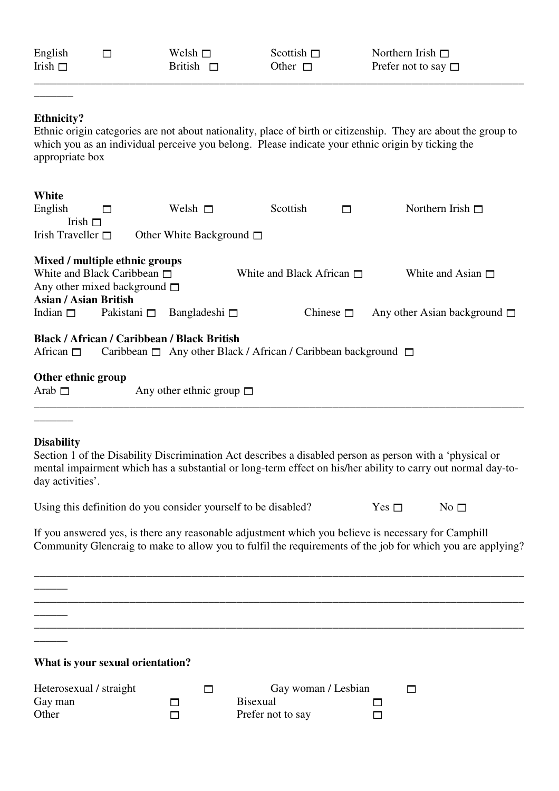| English<br>Irish $\square$                                                    | П                                                                                                                                          | Welsh $\square$<br><b>British</b><br>$\Box$                                                                                                                                    | Scottish $\square$<br>Other $\square$                       | Northern Irish $\Box$<br>Prefer not to say $\Box$                                                                                                                                                                                                         |  |
|-------------------------------------------------------------------------------|--------------------------------------------------------------------------------------------------------------------------------------------|--------------------------------------------------------------------------------------------------------------------------------------------------------------------------------|-------------------------------------------------------------|-----------------------------------------------------------------------------------------------------------------------------------------------------------------------------------------------------------------------------------------------------------|--|
| <b>Ethnicity?</b><br>appropriate box                                          |                                                                                                                                            |                                                                                                                                                                                |                                                             | Ethnic origin categories are not about nationality, place of birth or citizenship. They are about the group to<br>which you as an individual perceive you belong. Please indicate your ethnic origin by ticking the                                       |  |
| White<br>English<br>Irish Traveller $\square$                                 | □<br>Irish $\square$                                                                                                                       | Welsh $\Box$<br>Other White Background $\Box$                                                                                                                                  | Scottish                                                    | Northern Irish $\square$<br>П                                                                                                                                                                                                                             |  |
|                                                                               | Mixed / multiple ethnic groups<br>White and Black Caribbean $\Box$<br>Any other mixed background $\square$<br><b>Asian / Asian British</b> |                                                                                                                                                                                | White and Black African $\Box$                              | White and Asian $\Box$                                                                                                                                                                                                                                    |  |
| Indian $\square$<br>African $\square$<br>Other ethnic group<br>Arab $\square$ | Pakistani $\square$                                                                                                                        | Bangladeshi $\square$<br><b>Black / African / Caribbean / Black British</b><br>Caribbean □ Any other Black / African / Caribbean background □<br>Any other ethnic group $\Box$ | Chinese $\square$                                           | Any other Asian background $\square$                                                                                                                                                                                                                      |  |
| <b>Disability</b><br>day activities'.                                         |                                                                                                                                            | Using this definition do you consider yourself to be disabled?                                                                                                                 |                                                             | Section 1 of the Disability Discrimination Act describes a disabled person as person with a 'physical or<br>mental impairment which has a substantial or long-term effect on his/her ability to carry out normal day-to-<br>Yes $\Box$<br>No <sub>1</sub> |  |
|                                                                               |                                                                                                                                            |                                                                                                                                                                                |                                                             | If you answered yes, is there any reasonable adjustment which you believe is necessary for Camphill<br>Community Glencraig to make to allow you to fulfil the requirements of the job for which you are applying?                                         |  |
|                                                                               | What is your sexual orientation?                                                                                                           |                                                                                                                                                                                |                                                             |                                                                                                                                                                                                                                                           |  |
| Gay man<br>Other                                                              | Heterosexual / straight                                                                                                                    | П<br>$\mathsf{L}$<br>П                                                                                                                                                         | Gay woman / Lesbian<br><b>Bisexual</b><br>Prefer not to say | П<br>П                                                                                                                                                                                                                                                    |  |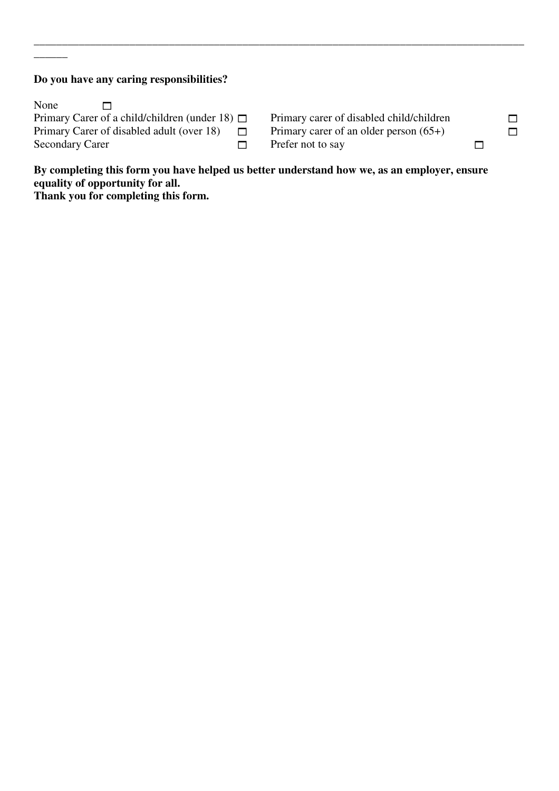# **Do you have any caring responsibilities?**

 $\overline{\phantom{a}}$ 

| None<br>$\Box$         |                                                        |  |
|------------------------|--------------------------------------------------------|--|
|                        | Primary Carer of a child/children (under 18) $\square$ |  |
|                        | Primary Carer of disabled adult (over 18)              |  |
| <b>Secondary Carer</b> |                                                        |  |

Primary carer of disabled child/children  $\square$ Primary carer of an older person  $(65+)$  $\Box$  Prefer not to say

**By completing this form you have helped us better understand how we, as an employer, ensure equality of opportunity for all.** 

\_\_\_\_\_\_\_\_\_\_\_\_\_\_\_\_\_\_\_\_\_\_\_\_\_\_\_\_\_\_\_\_\_\_\_\_\_\_\_\_\_\_\_\_\_\_\_\_\_\_\_\_\_\_\_\_\_\_\_\_\_\_\_\_\_\_\_\_\_\_\_\_\_\_\_\_\_\_\_\_\_\_\_\_\_\_\_

**Thank you for completing this form.**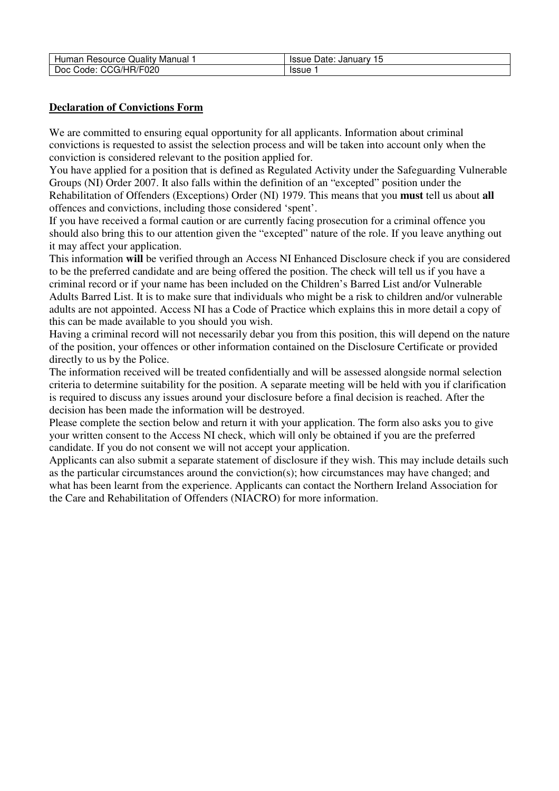| Resource                                                            | Januarv      |
|---------------------------------------------------------------------|--------------|
| Quality 1                                                           | Date:        |
| Manual                                                              | <b>Issue</b> |
| Humar                                                               | 15           |
| ヘル<br>የ/F020<br>$\overline{\phantom{a}}$<br>Doc<br>CG/HR/F<br>Code: | <b>Issue</b> |

#### **Declaration of Convictions Form**

We are committed to ensuring equal opportunity for all applicants. Information about criminal convictions is requested to assist the selection process and will be taken into account only when the conviction is considered relevant to the position applied for.

You have applied for a position that is defined as Regulated Activity under the Safeguarding Vulnerable Groups (NI) Order 2007. It also falls within the definition of an "excepted" position under the Rehabilitation of Offenders (Exceptions) Order (NI) 1979. This means that you **must** tell us about **all**  offences and convictions, including those considered 'spent'.

If you have received a formal caution or are currently facing prosecution for a criminal offence you should also bring this to our attention given the "excepted" nature of the role. If you leave anything out it may affect your application.

This information **will** be verified through an Access NI Enhanced Disclosure check if you are considered to be the preferred candidate and are being offered the position. The check will tell us if you have a criminal record or if your name has been included on the Children's Barred List and/or Vulnerable Adults Barred List. It is to make sure that individuals who might be a risk to children and/or vulnerable adults are not appointed. Access NI has a Code of Practice which explains this in more detail a copy of this can be made available to you should you wish.

Having a criminal record will not necessarily debar you from this position, this will depend on the nature of the position, your offences or other information contained on the Disclosure Certificate or provided directly to us by the Police.

The information received will be treated confidentially and will be assessed alongside normal selection criteria to determine suitability for the position. A separate meeting will be held with you if clarification is required to discuss any issues around your disclosure before a final decision is reached. After the decision has been made the information will be destroyed.

Please complete the section below and return it with your application. The form also asks you to give your written consent to the Access NI check, which will only be obtained if you are the preferred candidate. If you do not consent we will not accept your application.

Applicants can also submit a separate statement of disclosure if they wish. This may include details such as the particular circumstances around the conviction(s); how circumstances may have changed; and what has been learnt from the experience. Applicants can contact the Northern Ireland Association for the Care and Rehabilitation of Offenders (NIACRO) for more information.